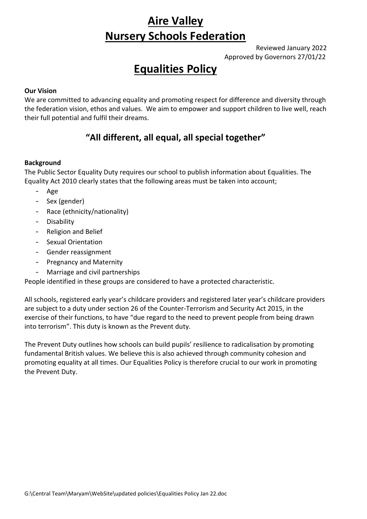# **Aire Valley Nursery Schools Federation**

Reviewed January 2022 Approved by Governors 27/01/22

# **Equalities Policy**

# **Our Vision**

We are committed to advancing equality and promoting respect for difference and diversity through the federation vision, ethos and values. We aim to empower and support children to live well, reach their full potential and fulfil their dreams.

# **"All different, all equal, all special together"**

# **Background**

The Public Sector Equality Duty requires our school to publish information about Equalities. The Equality Act 2010 clearly states that the following areas must be taken into account;

- Age
- Sex (gender)
- Race (ethnicity/nationality)
- Disability
- Religion and Belief
- Sexual Orientation
- Gender reassignment
- Pregnancy and Maternity
- Marriage and civil partnerships

People identified in these groups are considered to have a protected characteristic.

All schools, registered early year's childcare providers and registered later year's childcare providers are subject to a duty under section 26 of the Counter-Terrorism and Security Act 2015, in the exercise of their functions, to have "due regard to the need to prevent people from being drawn into terrorism". This duty is known as the Prevent duty.

The Prevent Duty outlines how schools can build pupils' resilience to radicalisation by promoting fundamental British values. We believe this is also achieved through community cohesion and promoting equality at all times. Our Equalities Policy is therefore crucial to our work in promoting the Prevent Duty.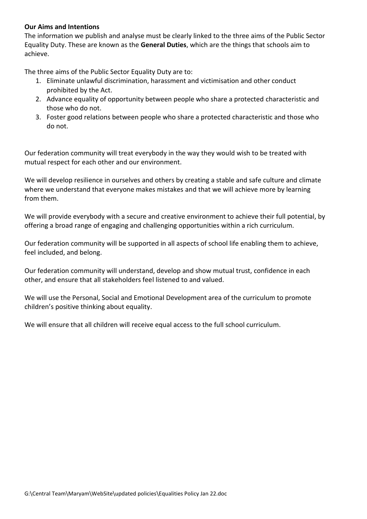## **Our Aims and Intentions**

The information we publish and analyse must be clearly linked to the three aims of the Public Sector Equality Duty. These are known as the **General Duties**, which are the things that schools aim to achieve.

The three aims of the Public Sector Equality Duty are to:

- 1. Eliminate unlawful discrimination, harassment and victimisation and other conduct prohibited by the Act.
- 2. Advance equality of opportunity between people who share a protected characteristic and those who do not.
- 3. Foster good relations between people who share a protected characteristic and those who do not.

Our federation community will treat everybody in the way they would wish to be treated with mutual respect for each other and our environment.

We will develop resilience in ourselves and others by creating a stable and safe culture and climate where we understand that everyone makes mistakes and that we will achieve more by learning from them.

We will provide everybody with a secure and creative environment to achieve their full potential, by offering a broad range of engaging and challenging opportunities within a rich curriculum.

Our federation community will be supported in all aspects of school life enabling them to achieve, feel included, and belong.

Our federation community will understand, develop and show mutual trust, confidence in each other, and ensure that all stakeholders feel listened to and valued.

We will use the Personal, Social and Emotional Development area of the curriculum to promote children's positive thinking about equality.

We will ensure that all children will receive equal access to the full school curriculum.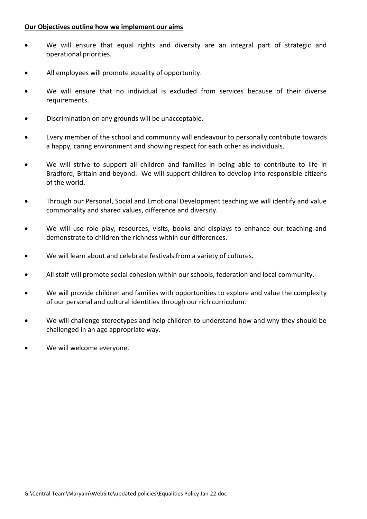#### **Our Objectives outline how we implement our aims**

- We will ensure that equal rights and diversity are an integral part of strategic and operational priorities.
- All employees will promote equality of opportunity.
- We will ensure that no individual is excluded from services because of their diverse requirements.
- Discrimination on any grounds will be unacceptable.
- Every member of the school and community will endeavour to personally contribute towards a happy, caring environment and showing respect for each other as individuals.
- We will strive to support all children and families in being able to contribute to life in Bradford, Britain and beyond. We will support children to develop into responsible citizens of the world.
- Through our Personal, Social and Emotional Development teaching we will identify and value commonality and shared values, difference and diversity.
- We will use role play, resources, visits, books and displays to enhance our teaching and demonstrate to children the richness within our differences.
- We will learn about and celebrate festivals from a variety of cultures.
- All staff will promote social cohesion within our schools, federation and local community.
- We will provide children and families with opportunities to explore and value the complexity of our personal and cultural identities through our rich curriculum.
- We will challenge stereotypes and help children to understand how and why they should be challenged in an age appropriate way.
- We will welcome everyone.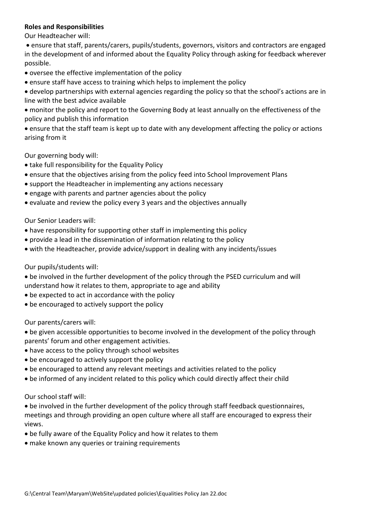# **Roles and Responsibilities**

Our Headteacher will:

 ensure that staff, parents/carers, pupils/students, governors, visitors and contractors are engaged in the development of and informed about the Equality Policy through asking for feedback wherever possible.

- oversee the effective implementation of the policy
- ensure staff have access to training which helps to implement the policy
- develop partnerships with external agencies regarding the policy so that the school's actions are in line with the best advice available
- monitor the policy and report to the Governing Body at least annually on the effectiveness of the policy and publish this information

 ensure that the staff team is kept up to date with any development affecting the policy or actions arising from it

Our governing body will:

- take full responsibility for the Equality Policy
- ensure that the objectives arising from the policy feed into School Improvement Plans
- support the Headteacher in implementing any actions necessary
- engage with parents and partner agencies about the policy
- evaluate and review the policy every 3 years and the objectives annually

Our Senior Leaders will:

- have responsibility for supporting other staff in implementing this policy
- provide a lead in the dissemination of information relating to the policy
- with the Headteacher, provide advice/support in dealing with any incidents/issues

Our pupils/students will:

- be involved in the further development of the policy through the PSED curriculum and will understand how it relates to them, appropriate to age and ability
- be expected to act in accordance with the policy
- be encouraged to actively support the policy

Our parents/carers will:

- be given accessible opportunities to become involved in the development of the policy through parents' forum and other engagement activities.
- have access to the policy through school websites
- be encouraged to actively support the policy
- be encouraged to attend any relevant meetings and activities related to the policy
- be informed of any incident related to this policy which could directly affect their child

Our school staff will:

- be involved in the further development of the policy through staff feedback questionnaires, meetings and through providing an open culture where all staff are encouraged to express their views.
- be fully aware of the Equality Policy and how it relates to them
- make known any queries or training requirements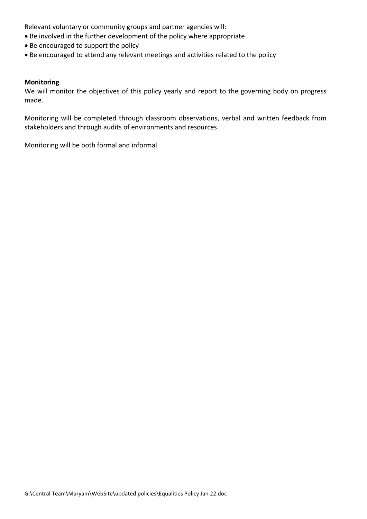Relevant voluntary or community groups and partner agencies will:

- Be involved in the further development of the policy where appropriate
- Be encouraged to support the policy
- Be encouraged to attend any relevant meetings and activities related to the policy

#### **Monitoring**

We will monitor the objectives of this policy yearly and report to the governing body on progress made.

Monitoring will be completed through classroom observations, verbal and written feedback from stakeholders and through audits of environments and resources.

Monitoring will be both formal and informal.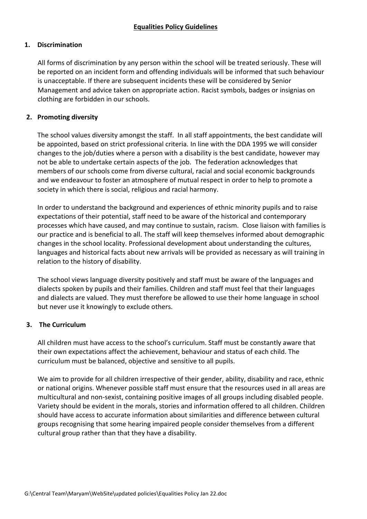# **1. Discrimination**

All forms of discrimination by any person within the school will be treated seriously. These will be reported on an incident form and offending individuals will be informed that such behaviour is unacceptable. If there are subsequent incidents these will be considered by Senior Management and advice taken on appropriate action. Racist symbols, badges or insignias on clothing are forbidden in our schools.

# **2. Promoting diversity**

The school values diversity amongst the staff. In all staff appointments, the best candidate will be appointed, based on strict professional criteria. In line with the DDA 1995 we will consider changes to the job/duties where a person with a disability is the best candidate, however may not be able to undertake certain aspects of the job. The federation acknowledges that members of our schools come from diverse cultural, racial and social economic backgrounds and we endeavour to foster an atmosphere of mutual respect in order to help to promote a society in which there is social, religious and racial harmony.

In order to understand the background and experiences of ethnic minority pupils and to raise expectations of their potential, staff need to be aware of the historical and contemporary processes which have caused, and may continue to sustain, racism. Close liaison with families is our practice and is beneficial to all. The staff will keep themselves informed about demographic changes in the school locality. Professional development about understanding the cultures, languages and historical facts about new arrivals will be provided as necessary as will training in relation to the history of disability.

The school views language diversity positively and staff must be aware of the languages and dialects spoken by pupils and their families. Children and staff must feel that their languages and dialects are valued. They must therefore be allowed to use their home language in school but never use it knowingly to exclude others.

# **3. The Curriculum**

All children must have access to the school's curriculum. Staff must be constantly aware that their own expectations affect the achievement, behaviour and status of each child. The curriculum must be balanced, objective and sensitive to all pupils.

We aim to provide for all children irrespective of their gender, ability, disability and race, ethnic or national origins. Whenever possible staff must ensure that the resources used in all areas are multicultural and non-sexist, containing positive images of all groups including disabled people. Variety should be evident in the morals, stories and information offered to all children. Children should have access to accurate information about similarities and difference between cultural groups recognising that some hearing impaired people consider themselves from a different cultural group rather than that they have a disability.